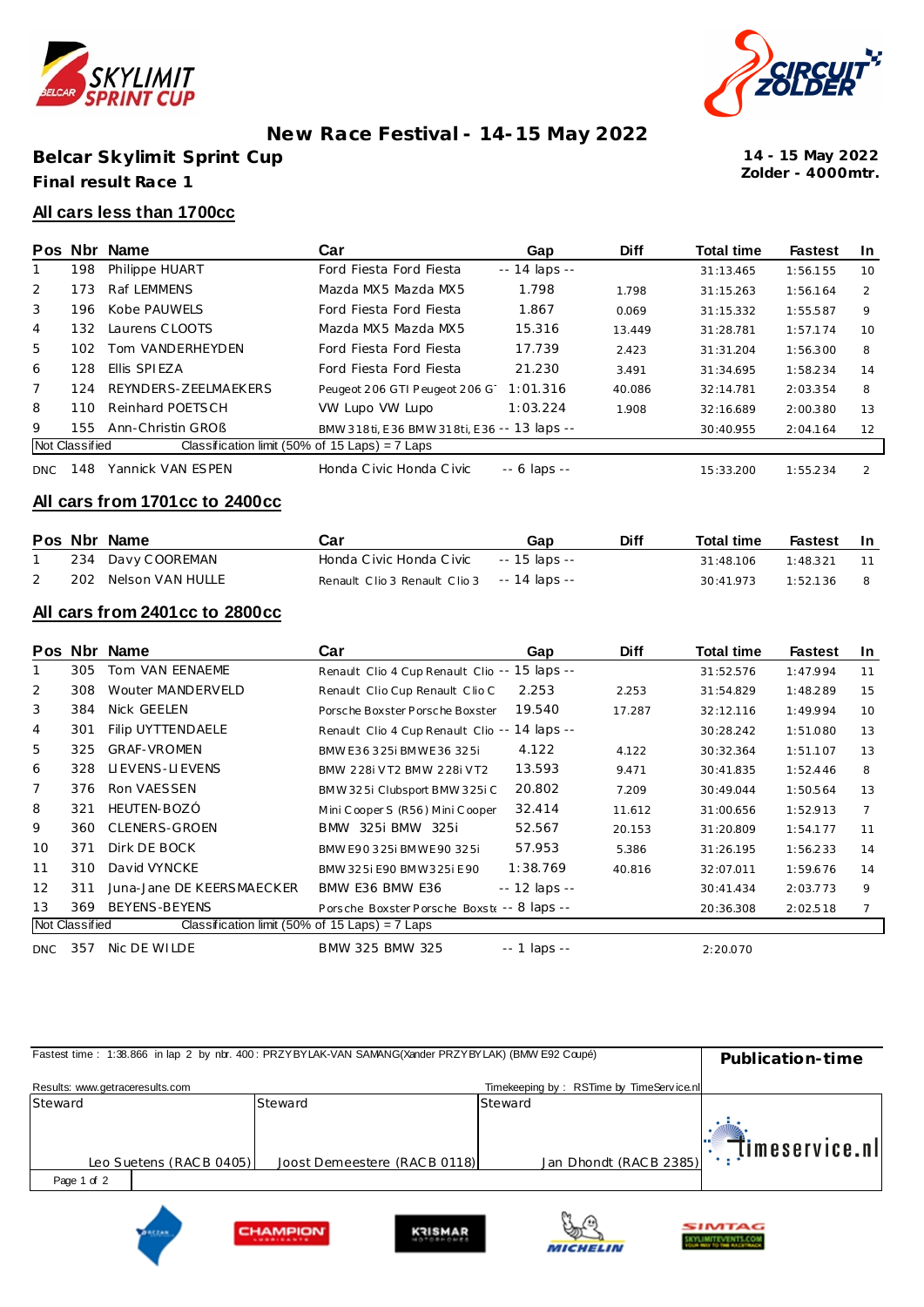

## **New Race Festival - 14-15 May 2022**

**Belcar Skylimit Sprint Cup Final result Race 1**



**Zolder - 4000mtr. 14 - 15 May 2022**

#### **All cars less than 1700cc**

|                |                | Pos Nbr Name                                     | Car                                         | Gap                 | <b>Diff</b> | <b>Total time</b> | <b>Fastest</b> | In.           |
|----------------|----------------|--------------------------------------------------|---------------------------------------------|---------------------|-------------|-------------------|----------------|---------------|
|                | 198            | Philippe HUART                                   | Ford Fiesta Ford Fiesta                     | $- - 14$ laps $- -$ |             | 31:13.465         | 1:56.155       | 10            |
| 2              | 173            | Raf LEMMENS                                      | Mazda MX5 Mazda MX5                         | 1.798               | 1.798       | 31:15.263         | 1:56.164       | $\mathcal{P}$ |
| 3              | 196            | Kobe PAUWELS                                     | Ford Fiesta Ford Fiesta                     | 1.867               | 0.069       | 31:15.332         | 1:55.587       | 9             |
| 4              | 132            | Laurens CLOOTS                                   | Mazda MX5 Mazda MX5                         | 15.316              | 13.449      | 31:28.781         | 1:57.174       | 10            |
| 5              | 102            | Tom VANDERHEYDEN                                 | Ford Fiesta Ford Fiesta                     | 17.739              | 2.423       | 31:31.204         | 1:56.300       | 8             |
| 6              | 128            | Ellis SPIEZA                                     | Ford Fiesta Ford Fiesta                     | 21.230              | 3.491       | 31:34.695         | 1:58.234       | 14            |
| $\overline{7}$ | 124            | REYNDERS-ZEELMAEKERS                             | Peugeot 206 GTI Peugeot 206 G               | 1:01.316            | 40.086      | 32:14.781         | 2:03.354       | 8             |
| 8              | 110            | Reinhard POETSCH                                 | VW Lupo VW Lupo                             | 1:03.224            | 1.908       | 32:16.689         | 2:00.380       | 13            |
| 9              | 155.           | Ann-Christin GROB                                | BMW 318ti, E36 BMW 318ti, E36 -- 13 laps -- |                     |             | 30:40.955         | 2:04.164       | 12            |
|                | Not Classified | Classification limit (50% of 15 Laps) = $7$ Laps |                                             |                     |             |                   |                |               |
| <b>DNC</b>     | 148            | Yannick VAN ESPEN                                | Honda Civic Honda Civic                     | $-6$ laps $-$       |             | 15:33.200         | 1:55.234       | $\mathcal{P}$ |

#### **All cars from 1701cc to 2400cc**

|  | Pos Nbr Name         | Car                                         | Gap           | <b>Diff</b> | <b>Total time</b> | Fastest In |     |
|--|----------------------|---------------------------------------------|---------------|-------------|-------------------|------------|-----|
|  | 234 Davy COOREMAN    | Honda Civic Honda Civic                     | -- 15 laps -- |             | 31:48.106         | 1.48371    | 11  |
|  | 202 Nelson VAN HULLE | Renault Clio 3 Renault Clio 3 -- 14 laps -- |               |             | 30:41.973         | 1:52.136   | - 8 |

#### **All cars from 2401cc to 2800cc**

| <b>Pos</b>     | <b>Nbr</b>     | Name                                             | Car                                           | Gap                | <b>Diff</b> | <b>Total time</b> | <b>Fastest</b> | <b>In</b> |
|----------------|----------------|--------------------------------------------------|-----------------------------------------------|--------------------|-------------|-------------------|----------------|-----------|
|                | 305            | Tom VAN EENAEME                                  | Renault Clio 4 Cup Renault Clio -- 15 laps -- |                    |             | 31:52.576         | 1:47.994       | 11        |
| 2              | 308            | Wouter MANDERVELD                                | Renault Clio Cup Renault Clio C               | 2.253              | 2.253       | 31:54.829         | 1:48.289       | 15        |
| 3              | 384            | Nick GEELEN                                      | Porsche Boxster Porsche Boxster               | 19.540             | 17.287      | 32:12.116         | 1:49.994       | 10        |
| $\overline{4}$ | 301            | <b>Filip UYTTENDAELE</b>                         | Renault Clio 4 Cup Renault Clio -- 14 laps -- |                    |             | 30:28.242         | 1:51.080       | 13        |
| 5              | 325            | <b>GRAF-VROMEN</b>                               | BMW E36 325i BMWE36 325i                      | 4.122              | 4.122       | 30:32.364         | 1:51.107       | 13        |
| 6              | 328            | LIEVENS-LIEVENS                                  | BMW 228i VT2 BMW 228i VT2                     | 13.593             | 9.471       | 30:41.835         | 1:52.446       | 8         |
| 7              | 376            | Ron VAESSEN                                      | BMW 325i Clubsport BMW 325i C                 | 20.802             | 7.209       | 30:49.044         | 1:50.564       | 13        |
| 8              | 321            | HEUTEN-BOZÓ                                      | Mini Cooper S (R56) Mini Cooper               | 32.414             | 11.612      | 31:00.656         | 1:52.913       | 7         |
| 9              | 360            | <b>CLENERS-GROEN</b>                             | BMW 325i BMW 325i                             | 52.567             | 20.153      | 31:20.809         | 1:54.177       | 11        |
| 10             | 371            | Dirk DE BOCK                                     | BMW E90 325i BMWE90 325i                      | 57.953             | 5.386       | 31:26.195         | 1:56.233       | 14        |
| 11             | 310            | David VYNCKE                                     | BMW 325i E90 BMW 325i E90                     | 1:38.769           | 40.816      | 32:07.011         | 1:59.676       | 14        |
| 12             | 311            | Juna-Jane DE KEERSMAECKER                        | BMW E36 BMW E36                               | -- 12 laps --      |             | 30:41.434         | 2:03.773       | 9         |
| 13             | 369            | BEYENS-BEYENS                                    | Porsche Boxster Porsche Boxste -- 8 laps --   |                    |             | 20:36.308         | 2:02.518       | 7         |
|                | Not Classified | Classification limit (50% of 15 Laps) = $7$ Laps |                                               |                    |             |                   |                |           |
| <b>DNC</b>     | 357            | Nic DE WILDE                                     | BMW 325 BMW 325                               | $- - 1$ laps $- -$ |             | 2:20.070          |                |           |

| Fastest time: 1:38.866 in lap 2 by nbr. 400: PRZYBYLAK-VAN SAMANG(Xander PRZYBYLAK) (BMW E92 Coupé) | Publication-time        |                              |                                          |                       |
|-----------------------------------------------------------------------------------------------------|-------------------------|------------------------------|------------------------------------------|-----------------------|
| Results: www.getraceresults.com                                                                     |                         |                              | Timekeeping by: RSTime by TimeService.nl |                       |
| Steward                                                                                             |                         | Steward                      | Steward                                  |                       |
|                                                                                                     | Leo Suetens (RACB 0405) | Joost Demeestere (RACB 0118) | Jan Dhondt (RACB 2385)                   | $\Box$ limeservice.nl |
| Page 1 of 2                                                                                         |                         |                              |                                          |                       |
|                                                                                                     |                         |                              | ®n ∧                                     |                       |